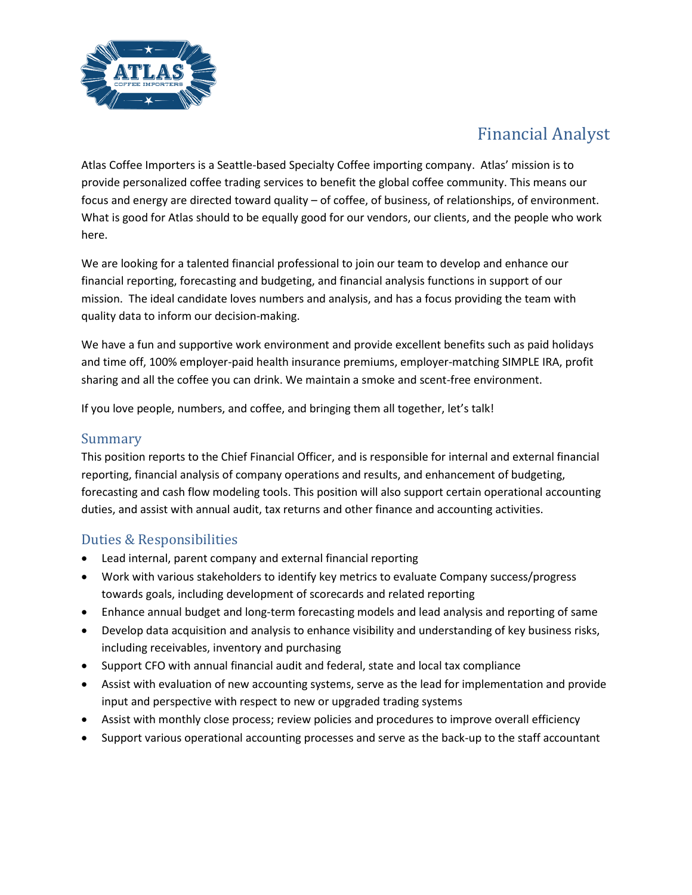

## Financial Analyst

Atlas Coffee Importers is a Seattle-based Specialty Coffee importing company. Atlas' mission is to provide personalized coffee trading services to benefit the global coffee community. This means our focus and energy are directed toward quality – of coffee, of business, of relationships, of environment. What is good for Atlas should to be equally good for our vendors, our clients, and the people who work here.

We are looking for a talented financial professional to join our team to develop and enhance our financial reporting, forecasting and budgeting, and financial analysis functions in support of our mission. The ideal candidate loves numbers and analysis, and has a focus providing the team with quality data to inform our decision-making.

We have a fun and supportive work environment and provide excellent benefits such as paid holidays and time off, 100% employer-paid health insurance premiums, employer-matching SIMPLE IRA, profit sharing and all the coffee you can drink. We maintain a smoke and scent-free environment.

If you love people, numbers, and coffee, and bringing them all together, let's talk!

## Summary

This position reports to the Chief Financial Officer, and is responsible for internal and external financial reporting, financial analysis of company operations and results, and enhancement of budgeting, forecasting and cash flow modeling tools. This position will also support certain operational accounting duties, and assist with annual audit, tax returns and other finance and accounting activities.

## Duties & Responsibilities

- Lead internal, parent company and external financial reporting
- Work with various stakeholders to identify key metrics to evaluate Company success/progress towards goals, including development of scorecards and related reporting
- Enhance annual budget and long-term forecasting models and lead analysis and reporting of same
- Develop data acquisition and analysis to enhance visibility and understanding of key business risks, including receivables, inventory and purchasing
- Support CFO with annual financial audit and federal, state and local tax compliance
- Assist with evaluation of new accounting systems, serve as the lead for implementation and provide input and perspective with respect to new or upgraded trading systems
- Assist with monthly close process; review policies and procedures to improve overall efficiency
- Support various operational accounting processes and serve as the back-up to the staff accountant